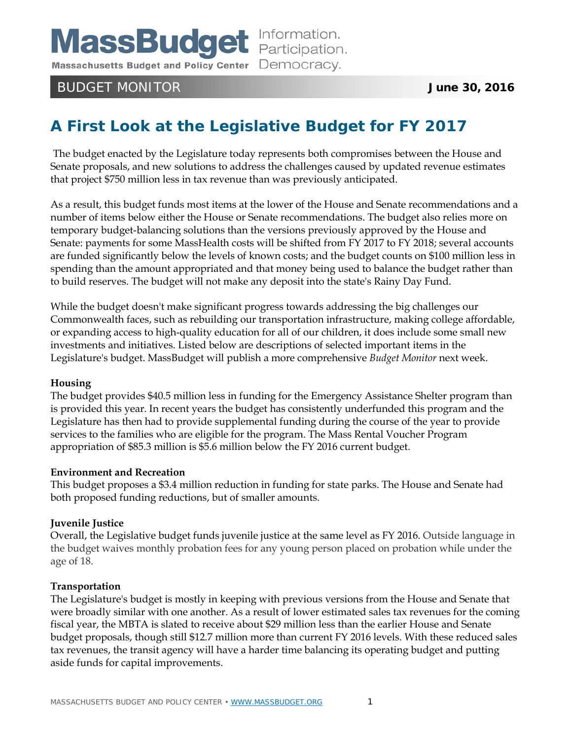Massachusetts Budget and Policy Center Democracy.

# BUDGET MONITOR **June 30, 2016**

# **A First Look at the Legislative Budget for FY 2017**

The budget enacted by the Legislature today represents both compromises between the House and Senate proposals, and new solutions to address the challenges caused by updated revenue estimates that project \$750 million less in tax revenue than was previously anticipated.

As a result, this budget funds most items at the lower of the House and Senate recommendations and a number of items below either the House or Senate recommendations. The budget also relies more on temporary budget-balancing solutions than the versions previously approved by the House and Senate: payments for some MassHealth costs will be shifted from FY 2017 to FY 2018; several accounts are funded significantly below the levels of known costs; and the budget counts on \$100 million less in spending than the amount appropriated and that money being used to balance the budget rather than to build reserves. The budget will not make any deposit into the state's Rainy Day Fund.

While the budget doesn't make significant progress towards addressing the big challenges our Commonwealth faces, such as rebuilding our transportation infrastructure, making college affordable, or expanding access to high-quality education for all of our children, it does include some small new investments and initiatives. Listed below are descriptions of selected important items in the Legislature's budget. MassBudget will publish a more comprehensive *Budget Monitor* next week.

# **Housing**

The budget provides \$40.5 million less in funding for the Emergency Assistance Shelter program than is provided this year. In recent years the budget has consistently underfunded this program and the Legislature has then had to provide supplemental funding during the course of the year to provide services to the families who are eligible for the program. The Mass Rental Voucher Program appropriation of \$85.3 million is \$5.6 million below the FY 2016 current budget.

# **Environment and Recreation**

This budget proposes a \$3.4 million reduction in funding for state parks. The House and Senate had both proposed funding reductions, but of smaller amounts.

# **Juvenile Justice**

Overall, the Legislative budget funds juvenile justice at the same level as FY 2016. Outside language in the budget waives monthly probation fees for any young person placed on probation while under the age of 18.

#### **Transportation**

The Legislature's budget is mostly in keeping with previous versions from the House and Senate that were broadly similar with one another. As a result of lower estimated sales tax revenues for the coming fiscal year, the MBTA is slated to receive about \$29 million less than the earlier House and Senate budget proposals, though still \$12.7 million more than current FY 2016 levels. With these reduced sales tax revenues, the transit agency will have a harder time balancing its operating budget and putting aside funds for capital improvements.